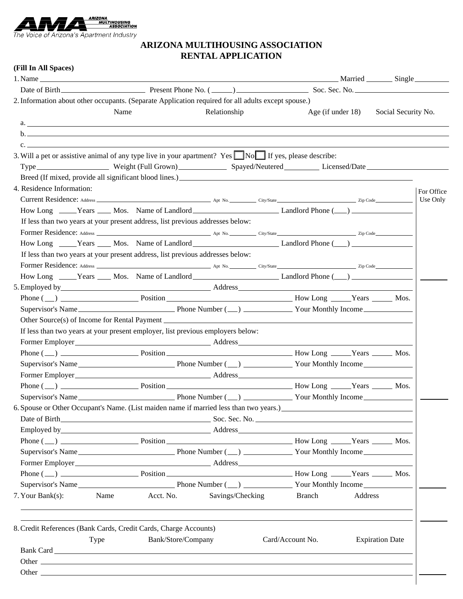

## **ARIZONA MULTIHOUSING ASSOCIATION RENTAL APPLICATION**

## **(Fill In All Spaces)**

|                                                                                                                                                                                                                                |      |                    |                  |  |                   |         | Married _________ Single _________ |            |
|--------------------------------------------------------------------------------------------------------------------------------------------------------------------------------------------------------------------------------|------|--------------------|------------------|--|-------------------|---------|------------------------------------|------------|
|                                                                                                                                                                                                                                |      |                    |                  |  |                   |         |                                    |            |
| 2. Information about other occupants. (Separate Application required for all adults except spouse.)                                                                                                                            |      |                    |                  |  |                   |         |                                    |            |
|                                                                                                                                                                                                                                | Name |                    | Relationship     |  | Age (if under 18) |         | Social Security No.                |            |
|                                                                                                                                                                                                                                |      |                    |                  |  |                   |         |                                    |            |
|                                                                                                                                                                                                                                |      |                    |                  |  |                   |         |                                    |            |
| $\mathbf{c}$ .                                                                                                                                                                                                                 |      |                    |                  |  |                   |         |                                    |            |
| 3. Will a pet or assistive animal of any type live in your apartment? Yes $\Box$ No $\Box$ If yes, please describe:                                                                                                            |      |                    |                  |  |                   |         |                                    |            |
|                                                                                                                                                                                                                                |      |                    |                  |  |                   |         |                                    |            |
| Breed (If mixed, provide all significant blood lines.)<br><u>Example 2014</u>                                                                                                                                                  |      |                    |                  |  |                   |         |                                    |            |
| 4. Residence Information:                                                                                                                                                                                                      |      |                    |                  |  |                   |         |                                    | For Office |
|                                                                                                                                                                                                                                |      |                    |                  |  |                   |         |                                    | Use Only   |
|                                                                                                                                                                                                                                |      |                    |                  |  |                   |         |                                    |            |
| If less than two years at your present address, list previous addresses below:                                                                                                                                                 |      |                    |                  |  |                   |         |                                    |            |
|                                                                                                                                                                                                                                |      |                    |                  |  |                   |         |                                    |            |
|                                                                                                                                                                                                                                |      |                    |                  |  |                   |         |                                    |            |
| If less than two years at your present address, list previous addresses below:                                                                                                                                                 |      |                    |                  |  |                   |         |                                    |            |
|                                                                                                                                                                                                                                |      |                    |                  |  |                   |         |                                    |            |
|                                                                                                                                                                                                                                |      |                    |                  |  |                   |         |                                    |            |
|                                                                                                                                                                                                                                |      |                    |                  |  |                   |         |                                    |            |
|                                                                                                                                                                                                                                |      |                    |                  |  |                   |         |                                    |            |
|                                                                                                                                                                                                                                |      |                    |                  |  |                   |         |                                    |            |
|                                                                                                                                                                                                                                |      |                    |                  |  |                   |         |                                    |            |
| If less than two years at your present employer, list previous employers below:                                                                                                                                                |      |                    |                  |  |                   |         |                                    |            |
|                                                                                                                                                                                                                                |      |                    |                  |  |                   |         |                                    |            |
|                                                                                                                                                                                                                                |      |                    |                  |  |                   |         |                                    |            |
|                                                                                                                                                                                                                                |      |                    |                  |  |                   |         |                                    |            |
|                                                                                                                                                                                                                                |      |                    |                  |  |                   |         |                                    |            |
|                                                                                                                                                                                                                                |      |                    |                  |  |                   |         |                                    |            |
|                                                                                                                                                                                                                                |      |                    |                  |  |                   |         |                                    |            |
| 6. Spouse or Other Occupant's Name. (List maiden name if married less than two years.)                                                                                                                                         |      |                    |                  |  |                   |         |                                    |            |
|                                                                                                                                                                                                                                |      |                    |                  |  |                   |         |                                    |            |
| Employed by Address Address Address Address Address Address Address Address Address Address Address Address Address Address Address Address Address Address Address Address Address Address Address Address Address Address Ad |      |                    |                  |  |                   |         |                                    |            |
|                                                                                                                                                                                                                                |      |                    |                  |  |                   |         |                                    |            |
|                                                                                                                                                                                                                                |      |                    |                  |  |                   |         |                                    |            |
|                                                                                                                                                                                                                                |      |                    |                  |  |                   |         |                                    |            |
|                                                                                                                                                                                                                                |      |                    |                  |  |                   |         |                                    |            |
|                                                                                                                                                                                                                                |      |                    |                  |  |                   |         |                                    |            |
| 7. Your Bank(s):                                                                                                                                                                                                               | Name | Acct. No.          | Savings/Checking |  | Branch            | Address |                                    |            |
|                                                                                                                                                                                                                                |      |                    |                  |  |                   |         |                                    |            |
|                                                                                                                                                                                                                                |      |                    |                  |  |                   |         |                                    |            |
| 8. Credit References (Bank Cards, Credit Cards, Charge Accounts)                                                                                                                                                               |      |                    |                  |  |                   |         |                                    |            |
|                                                                                                                                                                                                                                | Type | Bank/Store/Company |                  |  | Card/Account No.  |         | <b>Expiration Date</b>             |            |
|                                                                                                                                                                                                                                |      |                    |                  |  |                   |         |                                    |            |
| Other contract the contract of the contract of the contract of the contract of the contract of the contract of the contract of the contract of the contract of the contract of the contract of the contract of the contract of |      |                    |                  |  |                   |         |                                    |            |
|                                                                                                                                                                                                                                |      |                    |                  |  |                   |         |                                    |            |